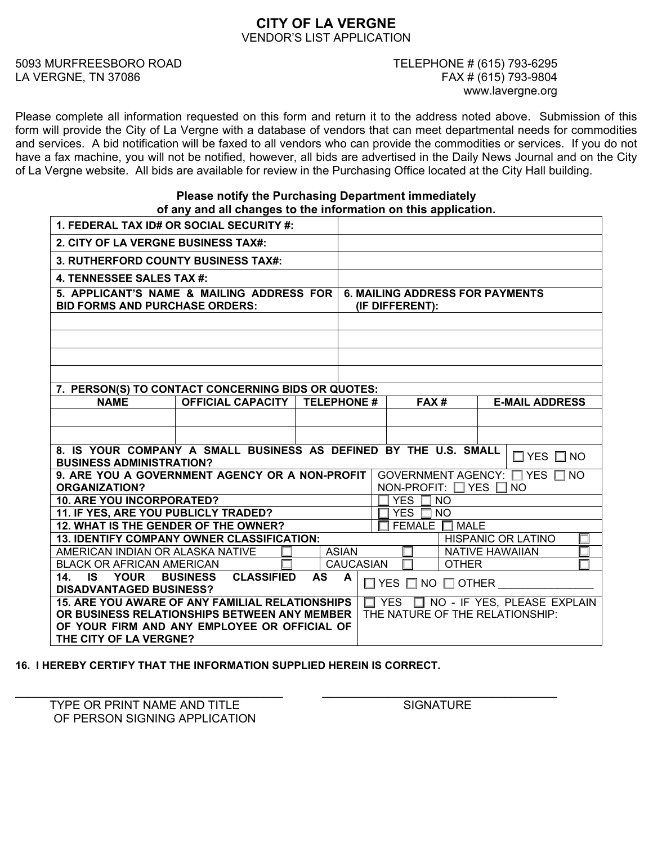# **CITY OF LA VERGNE**  VENDOR'S LIST APPLICATION

5093 MURFREESBORO ROAD TELEPHONE # (615) 793-6295

# LA VERGNE, TN 37086 FAX # (615) 793-9804 www.lavergne.org

Please complete all information requested on this form and return it to the address noted above. Submission of this form will provide the City of La Vergne with a database of vendors that can meet departmental needs for commodities and services. A bid notification will be faxed to all vendors who can provide the commodities or services. If you do not have a fax machine, you will not be notified, however, all bids are advertised in the Daily News Journal and on the City of La Vergne website. All bids are available for review in the Purchasing Office located at the City Hall building.

## **Please notify the Purchasing Department immediately of any and all changes to the information on this application.**

| 1. FEDERAL TAX ID# OR SOCIAL SECURITY #:                                                                                                         |                                        |  |                                        |                                  |                                               |  |
|--------------------------------------------------------------------------------------------------------------------------------------------------|----------------------------------------|--|----------------------------------------|----------------------------------|-----------------------------------------------|--|
| 2. CITY OF LA VERGNE BUSINESS TAX#:                                                                                                              |                                        |  |                                        |                                  |                                               |  |
| <b>3. RUTHERFORD COUNTY BUSINESS TAX#:</b>                                                                                                       |                                        |  |                                        |                                  |                                               |  |
| 4. TENNESSEE SALES TAX #:                                                                                                                        |                                        |  |                                        |                                  |                                               |  |
| 5. APPLICANT'S NAME & MAILING ADDRESS FOR                                                                                                        |                                        |  | <b>6. MAILING ADDRESS FOR PAYMENTS</b> |                                  |                                               |  |
| <b>BID FORMS AND PURCHASE ORDERS:</b>                                                                                                            |                                        |  | (IF DIFFERENT):                        |                                  |                                               |  |
|                                                                                                                                                  |                                        |  |                                        |                                  |                                               |  |
|                                                                                                                                                  |                                        |  |                                        |                                  |                                               |  |
|                                                                                                                                                  |                                        |  |                                        |                                  |                                               |  |
|                                                                                                                                                  |                                        |  |                                        |                                  |                                               |  |
| 7. PERSON(S) TO CONTACT CONCERNING BIDS OR QUOTES:                                                                                               |                                        |  |                                        |                                  |                                               |  |
| <b>NAME</b>                                                                                                                                      | <b>OFFICIAL CAPACITY   TELEPHONE #</b> |  |                                        | FAX#                             | <b>E-MAIL ADDRESS</b>                         |  |
|                                                                                                                                                  |                                        |  |                                        |                                  |                                               |  |
|                                                                                                                                                  |                                        |  |                                        |                                  |                                               |  |
| 8. IS YOUR COMPANY A SMALL BUSINESS AS DEFINED BY THE U.S. SMALL<br>$\Box$ YES $\Box$ NO                                                         |                                        |  |                                        |                                  |                                               |  |
| <b>BUSINESS ADMINISTRATION?</b>                                                                                                                  |                                        |  |                                        |                                  |                                               |  |
| 9. ARE YOU A GOVERNMENT AGENCY OR A NON-PROFIT GOVERNMENT AGENCY: $\Box$ YES $\Box$ NO                                                           |                                        |  |                                        | NON-PROFIT: $\Box$ YES $\Box$ NO |                                               |  |
| <b>ORGANIZATION?</b><br><b>10. ARE YOU INCORPORATED?</b>                                                                                         |                                        |  |                                        | YES $\Box$ NO                    |                                               |  |
| 11. IF YES, ARE YOU PUBLICLY TRADED?                                                                                                             |                                        |  | <b>YES</b><br>NO.                      |                                  |                                               |  |
| 12. WHAT IS THE GENDER OF THE OWNER?                                                                                                             |                                        |  |                                        | FEMALE $\Box$<br><b>MALE</b>     |                                               |  |
| <b>13. IDENTIFY COMPANY OWNER CLASSIFICATION:</b><br><b>HISPANIC OR LATINO</b>                                                                   |                                        |  |                                        |                                  |                                               |  |
| AMERICAN INDIAN OR ALASKA NATIVE                                                                                                                 |                                        |  | <b>ASIAN</b>                           |                                  | <b>NATIVE HAWAIIAN</b>                        |  |
| <b>CAUCASIAN</b><br><b>BLACK OR AFRICAN AMERICAN</b><br><b>OTHER</b>                                                                             |                                        |  |                                        |                                  |                                               |  |
| $\overline{14}$ . IS YOUR<br><b>BUSINESS</b><br><b>CLASSIFIED</b><br>AS A<br>$\Box$ YES $\Box$ NO $\Box$ OTHER<br><b>DISADVANTAGED BUSINESS?</b> |                                        |  |                                        |                                  |                                               |  |
| <b>15. ARE YOU AWARE OF ANY FAMILIAL RELATIONSHIPS</b>                                                                                           |                                        |  |                                        |                                  | $\Box$ YES $\Box$ NO - IF YES, PLEASE EXPLAIN |  |
| OR BUSINESS RELATIONSHIPS BETWEEN ANY MEMBER   THE NATURE OF THE RELATIONSHIP:                                                                   |                                        |  |                                        |                                  |                                               |  |
| OF YOUR FIRM AND ANY EMPLOYEE OR OFFICIAL OF                                                                                                     |                                        |  |                                        |                                  |                                               |  |
| THE CITY OF LA VERGNE?                                                                                                                           |                                        |  |                                        |                                  |                                               |  |

**16. I HEREBY CERTIFY THAT THE INFORMATION SUPPLIED HEREIN IS CORRECT.** 

TYPE OR PRINT NAME AND TITLE SIGNATURE OF PERSON SIGNING APPLICATION

\_\_\_\_\_\_\_\_\_\_\_\_\_\_\_\_\_\_\_\_\_\_\_\_\_\_\_\_\_\_\_\_\_\_\_\_\_\_\_\_\_ \_\_\_\_\_\_\_\_\_\_\_\_\_\_\_\_\_\_\_\_\_\_\_\_\_\_\_\_\_\_\_\_\_\_\_\_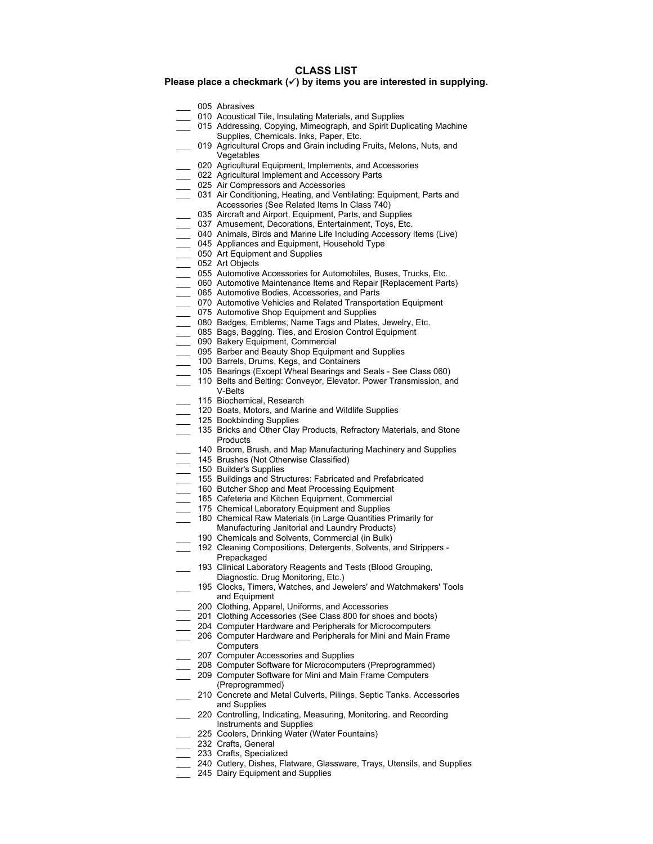#### **CLASS LIST**

### **Please place a checkmark (**9**) by items you are interested in supplying.**

- 005 Abrasives
- 010 Acoustical Tile, Insulating Materials, and Supplies
- \_\_\_ 015 Addressing, Copying, Mimeograph, and Spirit Duplicating Machine Supplies, Chemicals. Inks, Paper, Etc.
- 019 Agricultural Crops and Grain including Fruits, Melons, Nuts, and **Vegetables**
- 020 Agricultural Equipment, Implements, and Accessories
- 022 Agricultural Implement and Accessory Parts
- \_\_\_ 025 Air Compressors and Accessories
- 031 Air Conditioning, Heating, and Ventilating: Equipment, Parts and Accessories (See Related Items In Class 740)
- 035 Aircraft and Airport, Equipment, Parts, and Supplies
- 037 Amusement, Decorations, Entertainment, Toys, Etc.
- 040 Animals, Birds and Marine Life Including Accessory Items (Live)
- 045 Appliances and Equipment, Household Type
- 050 Art Equipment and Supplies
- \_\_\_ 052 Art Objects
- \_\_\_ 055 Automotive Accessories for Automobiles, Buses, Trucks, Etc.
- 060 Automotive Maintenance Items and Repair [Replacement Parts)
- 065 Automotive Bodies, Accessories, and Parts
- \_\_\_ 070 Automotive Vehicles and Related Transportation Equipment
- 075 Automotive Shop Equipment and Supplies
- 080 Badges, Emblems, Name Tags and Plates, Jewelry, Etc.
- 085 Bags, Bagging. Ties, and Erosion Control Equipment
- 090 Bakery Equipment, Commercial
- \_\_\_ 095 Barber and Beauty Shop Equipment and Supplies
- \_\_\_ 100 Barrels, Drums, Kegs, and Containers
- 105 Bearings (Except Wheal Bearings and Seals See Class 060)
- 110 Belts and Belting: Conveyor, Elevator. Power Transmission, and
- V-Belts
- 115 Biochemical, Research
- 120 Boats, Motors, and Marine and Wildlife Supplies
- 125 Bookbinding Supplies
- 135 Bricks and Other Clay Products, Refractory Materials, and Stone **Products**
- 140 Broom, Brush, and Map Manufacturing Machinery and Supplies
- 145 Brushes (Not Otherwise Classified)
- \_\_\_ 150 Builder's Supplies
- \_\_\_ 155 Buildings and Structures: Fabricated and Prefabricated
- 160 Butcher Shop and Meat Processing Equipment
- 165 Cafeteria and Kitchen Equipment, Commercial
- \_\_\_ 175 Chemical Laboratory Equipment and Supplies
- 180 Chemical Raw Materials (in Large Quantities Primarily for Manufacturing Janitorial and Laundry Products)
	- 190 Chemicals and Solvents, Commercial (in Bulk)
- 192 Cleaning Compositions, Detergents, Solvents, and Strippers -Prepackaged
- \_\_\_ 193 Clinical Laboratory Reagents and Tests (Blood Grouping, Diagnostic. Drug Monitoring, Etc.)
- \_\_\_ 195 Clocks, Timers, Watches, and Jewelers' and Watchmakers' Tools and Equipment
- 200 Clothing, Apparel, Uniforms, and Accessories
- 201 Clothing Accessories (See Class 800 for shoes and boots)
- \_\_\_ 204 Computer Hardware and Peripherals for Microcomputers
- \_\_\_ 206 Computer Hardware and Peripherals for Mini and Main Frame **Computers**
- 207 Computer Accessories and Supplies
- 208 Computer Software for Microcomputers (Preprogrammed)
- \_\_\_ 209 Computer Software for Mini and Main Frame Computers
- (Preprogrammed)
- 210 Concrete and Metal Culverts, Pilings, Septic Tanks. Accessories and Supplies
- 220 Controlling, Indicating, Measuring, Monitoring. and Recording Instruments and Supplies
- 225 Coolers, Drinking Water (Water Fountains)
- 232 Crafts, General
- 233 Crafts, Specialized
- 240 Cutlery, Dishes, Flatware, Glassware, Trays, Utensils, and Supplies
- 245 Dairy Equipment and Supplies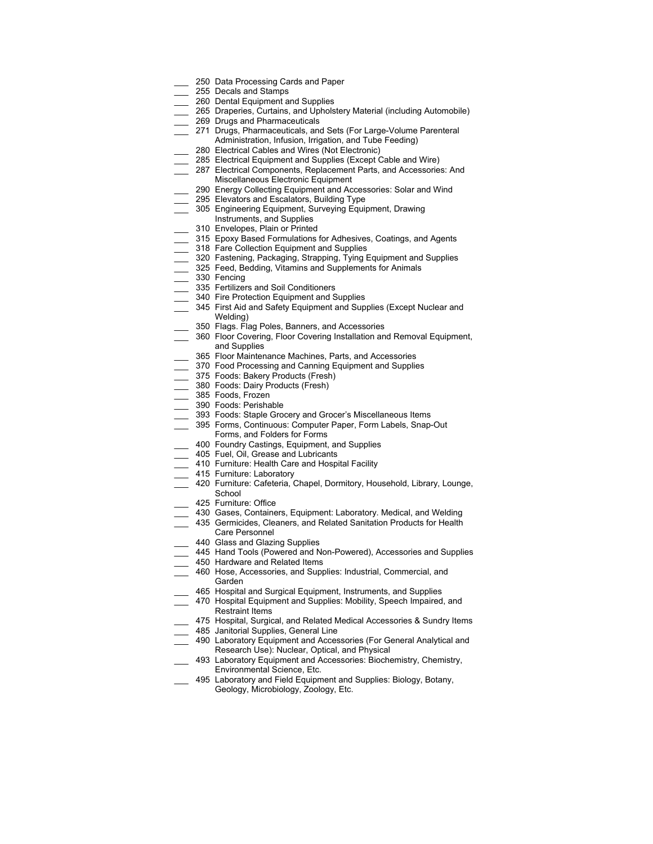- 250 Data Processing Cards and Paper
- 255 Decals and Stamps
- 260 Dental Equipment and Supplies
- 265 Draperies, Curtains, and Upholstery Material (including Automobile) 269 Drugs and Pharmaceuticals
- 
- 271 Drugs, Pharmaceuticals, and Sets (For Large-Volume Parenteral Administration, Infusion, Irrigation, and Tube Feeding)
- 280 Electrical Cables and Wires (Not Electronic)
- 285 Electrical Equipment and Supplies (Except Cable and Wire)
- 287 Electrical Components, Replacement Parts, and Accessories: And
- Miscellaneous Electronic Equipment
- 290 Energy Collecting Equipment and Accessories: Solar and Wind
- 295 Elevators and Escalators, Building Type
- 305 Engineering Equipment, Surveying Equipment, Drawing
- Instruments, and Supplies
- 310 Envelopes, Plain or Printed
- 315 Epoxy Based Formulations for Adhesives, Coatings, and Agents
- 318 Fare Collection Equipment and Supplies
- 320 Fastening, Packaging, Strapping, Tying Equipment and Supplies
- 325 Feed, Bedding, Vitamins and Supplements for Animals
- \_\_\_ 330 Fencing
- 335 Fertilizers and Soil Conditioners
- 340 Fire Protection Equipment and Supplies
- 345 First Aid and Safety Equipment and Supplies (Except Nuclear and Welding)
- 350 Flags. Flag Poles, Banners, and Accessories
- 360 Floor Covering, Floor Covering Installation and Removal Equipment, and Supplies
- 365 Floor Maintenance Machines, Parts, and Accessories
- 370 Food Processing and Canning Equipment and Supplies
- 375 Foods: Bakery Products (Fresh)
- 380 Foods: Dairy Products (Fresh)
- \_\_\_ 385 Foods, Frozen
- 390 Foods: Perishable
- 393 Foods: Staple Grocery and Grocer's Miscellaneous Items
	- \_\_\_ 395 Forms, Continuous: Computer Paper, Form Labels, Snap-Out Forms, and Folders for Forms
- 400 Foundry Castings, Equipment, and Supplies
- 405 Fuel, Oil, Grease and Lubricants
- \_\_\_ 410 Furniture: Health Care and Hospital Facility
- **\_\_\_** 415 Furniture: Laboratory
- 420 Furniture: Cafeteria, Chapel, Dormitory, Household, Library, Lounge, **School**
- 425 Furniture: Office
- 430 Gases, Containers, Equipment: Laboratory. Medical, and Welding
- 435 Germicides, Cleaners, and Related Sanitation Products for Health
- Care Personnel
- 440 Glass and Glazing Supplies
- 445 Hand Tools (Powered and Non-Powered), Accessories and Supplies
- 450 Hardware and Related Items
- 460 Hose, Accessories, and Supplies: Industrial, Commercial, and Garden
- 465 Hospital and Surgical Equipment, Instruments, and Supplies
- 470 Hospital Equipment and Supplies: Mobility, Speech Impaired, and Restraint Items
- 475 Hospital, Surgical, and Related Medical Accessories & Sundry Items
- 485 Janitorial Supplies, General Line
	- 490 Laboratory Equipment and Accessories (For General Analytical and Research Use): Nuclear, Optical, and Physical
- 493 Laboratory Equipment and Accessories: Biochemistry, Chemistry, Environmental Science, Etc.
- 495 Laboratory and Field Equipment and Supplies: Biology, Botany, Geology, Microbiology, Zoology, Etc.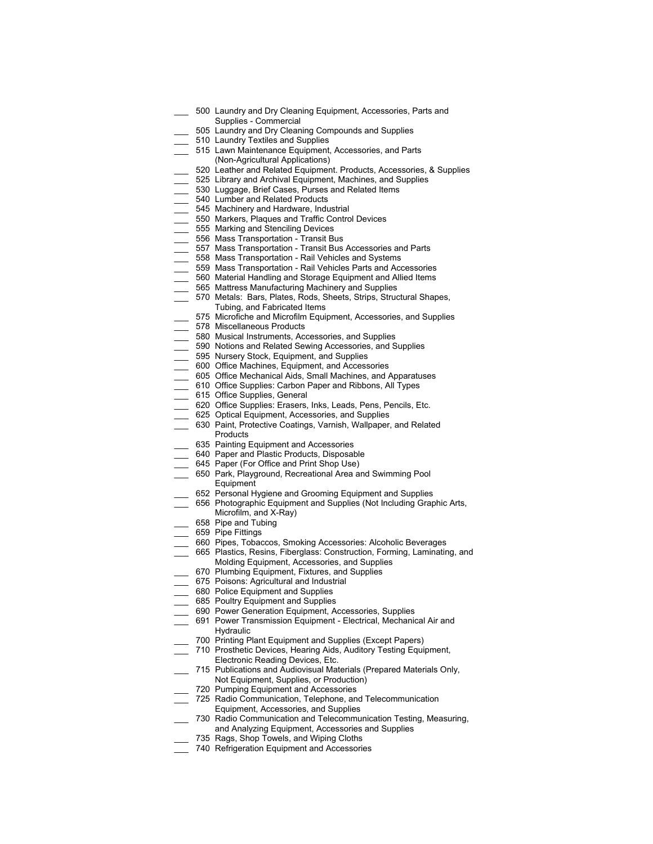- 500 Laundry and Dry Cleaning Equipment, Accessories, Parts and Supplies - Commercial
	- 505 Laundry and Dry Cleaning Compounds and Supplies
- 510 Laundry Textiles and Supplies
- \_\_\_ 515 Lawn Maintenance Equipment, Accessories, and Parts (Non-Agricultural Applications)
- 520 Leather and Related Equipment. Products, Accessories, & Supplies
- 525 Library and Archival Equipment, Machines, and Supplies
- 530 Luggage, Brief Cases, Purses and Related Items
- 540 Lumber and Related Products
- 545 Machinery and Hardware, Industrial
- 550 Markers, Plaques and Traffic Control Devices
- 555 Marking and Stenciling Devices
- 556 Mass Transportation Transit Bus
- \_\_\_ 557 Mass Transportation Transit Bus Accessories and Parts
- 558 Mass Transportation Rail Vehicles and Systems
- 559 Mass Transportation Rail Vehicles Parts and Accessories
- 560 Material Handling and Storage Equipment and Allied Items
- 565 Mattress Manufacturing Machinery and Supplies
- 570 Metals: Bars, Plates, Rods, Sheets, Strips, Structural Shapes, Tubing, and Fabricated Items
- 575 Microfiche and Microfilm Equipment, Accessories, and Supplies
- \_\_\_ 578 Miscellaneous Products
- \_\_\_ 580 Musical Instruments, Accessories, and Supplies
- \_\_\_ 590 Notions and Related Sewing Accessories, and Supplies
- \_\_\_ 595 Nursery Stock, Equipment, and Supplies
- \_\_\_ 600 Office Machines, Equipment, and Accessories
- \_\_\_ 605 Office Mechanical Aids, Small Machines, and Apparatuses
- 610 Office Supplies: Carbon Paper and Ribbons, All Types
- \_\_\_ 615 Office Supplies, General
- 620 Office Supplies: Erasers, Inks, Leads, Pens, Pencils, Etc.
- \_\_\_ 625 Optical Equipment, Accessories, and Supplies
- \_\_\_ 630 Paint, Protective Coatings, Varnish, Wallpaper, and Related Products
- 635 Painting Equipment and Accessories
- 640 Paper and Plastic Products, Disposable
- 645 Paper (For Office and Print Shop Use)
- \_\_\_ 650 Park, Playground, Recreational Area and Swimming Pool Equipment
- 652 Personal Hygiene and Grooming Equipment and Supplies
- 656 Photographic Equipment and Supplies (Not Including Graphic Arts, Microfilm, and X-Ray)
- 658 Pipe and Tubing
- \_\_\_ 659 Pipe Fittings
- \_\_\_ 660 Pipes, Tobaccos, Smoking Accessories: Alcoholic Beverages
- \_\_\_ 665 Plastics, Resins, Fiberglass: Construction, Forming, Laminating, and Molding Equipment, Accessories, and Supplies
- 670 Plumbing Equipment, Fixtures, and Supplies
- 675 Poisons: Agricultural and Industrial
- 680 Police Equipment and Supplies
- 685 Poultry Equipment and Supplies
- \_\_\_ 690 Power Generation Equipment, Accessories, Supplies
- 691 Power Transmission Equipment Electrical, Mechanical Air and Hydraulic
- 700 Printing Plant Equipment and Supplies (Except Papers)
- 710 Prosthetic Devices, Hearing Aids, Auditory Testing Equipment, Electronic Reading Devices, Etc.
- 715 Publications and Audiovisual Materials (Prepared Materials Only, Not Equipment, Supplies, or Production)
- \_\_\_ 720 Pumping Equipment and Accessories
- \_\_\_ 725 Radio Communication, Telephone, and Telecommunication Equipment, Accessories, and Supplies
- 730 Radio Communication and Telecommunication Testing, Measuring,
- and Analyzing Equipment, Accessories and Supplies
- 735 Rags, Shop Towels, and Wiping Cloths
- \_\_\_ 740 Refrigeration Equipment and Accessories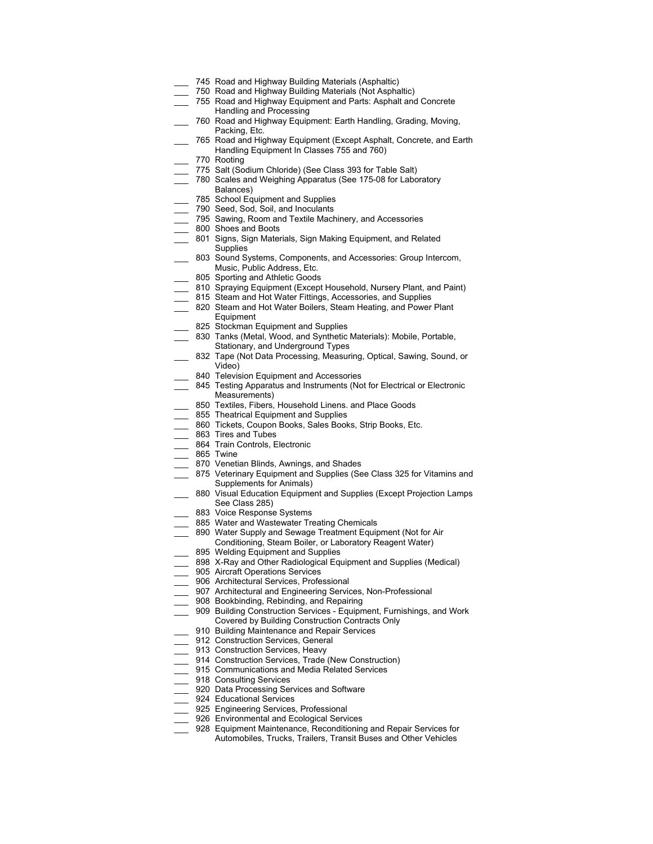- 745 Road and Highway Building Materials (Asphaltic)
	- 750 Road and Highway Building Materials (Not Asphaltic)
- 755 Road and Highway Equipment and Parts: Asphalt and Concrete Handling and Processing
- 760 Road and Highway Equipment: Earth Handling, Grading, Moving, Packing, Etc.
- \_\_\_ 765 Road and Highway Equipment (Except Asphalt, Concrete, and Earth Handling Equipment In Classes 755 and 760)
- \_\_\_ 770 Rooting
- 775 Salt (Sodium Chloride) (See Class 393 for Table Salt)
- \_\_\_ 780 Scales and Weighing Apparatus (See 175-08 for Laboratory Balances)
- 785 School Equipment and Supplies
- \_\_\_ 790 Seed, Sod, Soil, and Inoculants
- 795 Sawing, Room and Textile Machinery, and Accessories
- \_\_\_ 800 Shoes and Boots
- \_\_\_ 801 Signs, Sign Materials, Sign Making Equipment, and Related **Supplies**
- 803 Sound Systems, Components, and Accessories: Group Intercom, Music, Public Address, Etc.
- 805 Sporting and Athletic Goods
- 810 Spraying Equipment (Except Household, Nursery Plant, and Paint)
- 815 Steam and Hot Water Fittings, Accessories, and Supplies
- 820 Steam and Hot Water Boilers, Steam Heating, and Power Plant
- Equipment
- 825 Stockman Equipment and Supplies
- 830 Tanks (Metal, Wood, and Synthetic Materials): Mobile, Portable, Stationary, and Underground Types
- 832 Tape (Not Data Processing, Measuring, Optical, Sawing, Sound, or Video)
- 840 Television Equipment and Accessories
- 845 Testing Apparatus and Instruments (Not for Electrical or Electronic Measurements)
- 850 Textiles, Fibers, Household Linens. and Place Goods
- 855 Theatrical Equipment and Supplies
- 860 Tickets, Coupon Books, Sales Books, Strip Books, Etc.
- **\_\_\_** 863 Tires and Tubes
- 864 Train Controls, Electronic
- 865 Twine
- 870 Venetian Blinds, Awnings, and Shades
- 875 Veterinary Equipment and Supplies (See Class 325 for Vitamins and Supplements for Animals)
- 880 Visual Education Equipment and Supplies (Except Projection Lamps See Class 285)
- 883 Voice Response Systems
- 885 Water and Wastewater Treating Chemicals
- 890 Water Supply and Sewage Treatment Equipment (Not for Air
- Conditioning, Steam Boiler, or Laboratory Reagent Water)
- 895 Welding Equipment and Supplies
- 898 X-Ray and Other Radiological Equipment and Supplies (Medical)
- 905 Aircraft Operations Services
- 906 Architectural Services, Professional
- 907 Architectural and Engineering Services, Non-Professional
- 908 Bookbinding, Rebinding, and Repairing
- 909 Building Construction Services Equipment, Furnishings, and Work Covered by Building Construction Contracts Only
	- 910 Building Maintenance and Repair Services
- 912 Construction Services, General
- \_\_\_ 913 Construction Services, Heavy
- \_\_\_ 914 Construction Services, Trade (New Construction)
- 915 Communications and Media Related Services
- 918 Consulting Services
- 920 Data Processing Services and Software
- 924 Educational Services
- 925 Engineering Services, Professional
- 926 Environmental and Ecological Services
	- 928 Equipment Maintenance, Reconditioning and Repair Services for Automobiles, Trucks, Trailers, Transit Buses and Other Vehicles